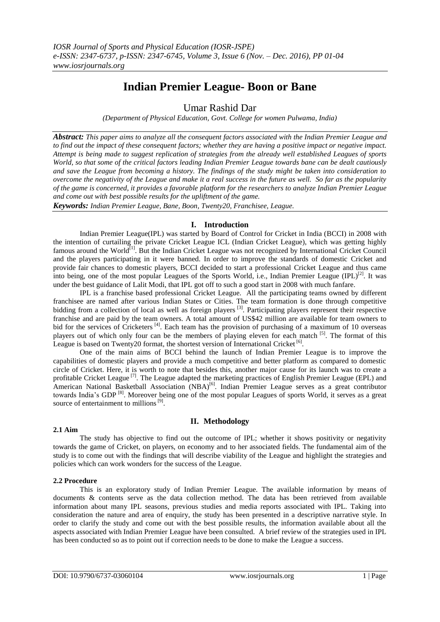# **Indian Premier League- Boon or Bane**

Umar Rashid Dar

*(Department of Physical Education, Govt. College for women Pulwama, India)*

*Abstract: This paper aims to analyze all the consequent factors associated with the Indian Premier League and to find out the impact of these consequent factors; whether they are having a positive impact or negative impact. Attempt is being made to suggest replication of strategies from the already well established Leagues of sports World, so that some of the critical factors leading Indian Premier League towards bane can be dealt cautiously and save the League from becoming a history. The findings of the study might be taken into consideration to overcome the negativity of the League and make it a real success in the future as well. So far as the popularity of the game is concerned, it provides a favorable platform for the researchers to analyze Indian Premier League and come out with best possible results for the upliftment of the game.* 

*Keywords: Indian Premier League, Bane, Boon, Twenty20, Franchisee, League.*

# **I. Introduction**

Indian Premier League(IPL) was started by Board of Control for Cricket in India (BCCI) in 2008 with the intention of curtailing the private Cricket League ICL (Indian Cricket League), which was getting highly famous around the World<sup>[1]</sup>. But the Indian Cricket League was not recognized by International Cricket Council and the players participating in it were banned. In order to improve the standards of domestic Cricket and provide fair chances to domestic players, BCCI decided to start a professional Cricket League and thus came into being, one of the most popular Leagues of the Sports World, i.e., Indian Premier League (IPL)<sup>[2]</sup>. It was under the best guidance of Lalit Modi, that IPL got off to such a good start in 2008 with much fanfare.

IPL is a franchise based professional Cricket League. All the participating teams owned by different franchisee are named after various Indian States or Cities. The team formation is done through competitive bidding from a collection of local as well as foreign players<sup>[3]</sup>. Participating players represent their respective franchise and are paid by the team owners. A total amount of US\$42 million are available for team owners to bid for the services of Cricketers<sup>[4]</sup>. Each team has the provision of purchasing of a maximum of 10 overseas players out of which only four can be the members of playing eleven for each match <sup>[5]</sup>. The format of this League is based on Twenty20 format, the shortest version of International Cricket [6].

One of the main aims of BCCI behind the launch of Indian Premier League is to improve the capabilities of domestic players and provide a much competitive and better platform as compared to domestic circle of Cricket. Here, it is worth to note that besides this, another major cause for its launch was to create a profitable Cricket League <sup>[7]</sup>. The League adapted the marketing practices of English Premier League (EPL) and American National Basketball Association (NBA)<sup>[6]</sup>. Indian Premier League serves as a great contributor towards India's GDP<sup>[8]</sup>. Moreover being one of the most popular Leagues of sports World, it serves as a great source of entertainment to millions<sup>[9]</sup>.

# **II. Methodology**

## **2.1 Aim**

The study has objective to find out the outcome of IPL; whether it shows positivity or negativity towards the game of Cricket, on players, on economy and to her associated fields. The fundamental aim of the study is to come out with the findings that will describe viability of the League and highlight the strategies and policies which can work wonders for the success of the League.

## **2.2 Procedure**

This is an exploratory study of Indian Premier League. The available information by means of documents & contents serve as the data collection method. The data has been retrieved from available information about many IPL seasons, previous studies and media reports associated with IPL. Taking into consideration the nature and area of enquiry, the study has been presented in a descriptive narrative style. In order to clarify the study and come out with the best possible results, the information available about all the aspects associated with Indian Premier League have been consulted. A brief review of the strategies used in IPL has been conducted so as to point out if correction needs to be done to make the League a success.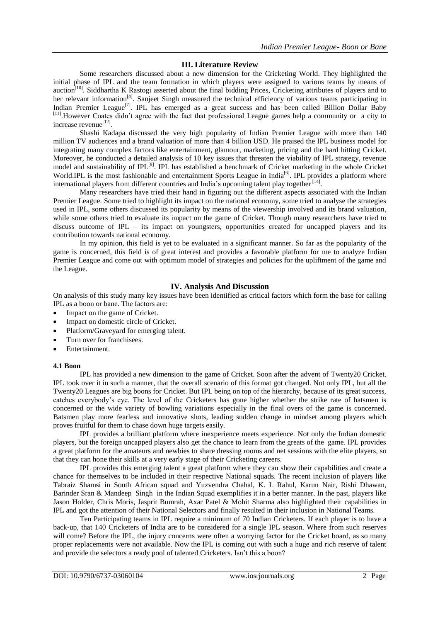## **III. Literature Review**

Some researchers discussed about a new dimension for the Cricketing World. They highlighted the initial phase of IPL and the team formation in which players were assigned to various teams by means of auction<sup>[10]</sup>. Siddhartha K Rastogi asserted about the final bidding Prices, Cricketing attributes of players and to her relevant information<sup>[4]</sup>. Sanjeet Singh measured the technical efficiency of various teams participating in Indian Premier League<sup>[7]</sup>. IPL has emerged as a great success and has been called Billion Dollar Baby [11]. However Coates didn't agree with the fact that professional League games help a community or a city to increase revenue<sup>[12]</sup>.

Shashi Kadapa discussed the very high popularity of Indian Premier League with more than 140 million TV audiences and a brand valuation of more than 4 billion USD. He praised the IPL business model for integrating many complex factors like entertainment, glamour, marketing, pricing and the hard hitting Cricket. Moreover, he conducted a detailed analysis of 10 key issues that threaten the viability of IPL strategy, revenue model and sustainability of IPL<sup>[9]</sup>. IPL has established a benchmark of Cricket marketing in the whole Cricket World.IPL is the most fashionable and entertainment Sports League in India<sup>[6]</sup>. IPL provides a platform where international players from different countries and India's upcoming talent play together [14].

Many researchers have tried their hand in figuring out the different aspects associated with the Indian Premier League. Some tried to highlight its impact on the national economy, some tried to analyse the strategies used in IPL, some others discussed its popularity by means of the viewership involved and its brand valuation, while some others tried to evaluate its impact on the game of Cricket. Though many researchers have tried to discuss outcome of IPL – its impact on youngsters, opportunities created for uncapped players and its contribution towards national economy.

In my opinion, this field is yet to be evaluated in a significant manner. So far as the popularity of the game is concerned, this field is of great interest and provides a favorable platform for me to analyze Indian Premier League and come out with optimum model of strategies and policies for the upliftment of the game and the League.

# **IV. Analysis And Discussion**

On analysis of this study many key issues have been identified as critical factors which form the base for calling IPL as a boon or bane. The factors are:

- Impact on the game of Cricket.
- Impact on domestic circle of Cricket.
- Platform/Graveyard for emerging talent.
- Turn over for franchisees.
- Entertainment.

#### **4.1 Boon**

IPL has provided a new dimension to the game of Cricket. Soon after the advent of Twenty20 Cricket. IPL took over it in such a manner, that the overall scenario of this format got changed. Not only IPL, but all the Twenty20 Leagues are big boons for Cricket. But IPL being on top of the hierarchy, because of its great success, catches everybody's eye. The level of the Cricketers has gone higher whether the strike rate of batsmen is concerned or the wide variety of bowling variations especially in the final overs of the game is concerned. Batsmen play more fearless and innovative shots, leading sudden change in mindset among players which proves fruitful for them to chase down huge targets easily.

IPL provides a brilliant platform where inexperience meets experience. Not only the Indian domestic players, but the foreign uncapped players also get the chance to learn from the greats of the game. IPL provides a great platform for the amateurs and newbies to share dressing rooms and net sessions with the elite players, so that they can hone their skills at a very early stage of their Cricketing careers.

IPL provides this emerging talent a great platform where they can show their capabilities and create a chance for themselves to be included in their respective National squads. The recent inclusion of players like Tabraiz Shamsi in South African squad and Yuzvendra Chahal, K. L Rahul, Karun Nair, Rishi Dhawan, Barinder Sran & Mandeep Singh in the Indian Squad exemplifies it in a better manner. In the past, players like Jason Holder, Chris Moris, Jasprit Bumrah, Axar Patel & Mohit Sharma also highlighted their capabilities in IPL and got the attention of their National Selectors and finally resulted in their inclusion in National Teams.

Ten Participating teams in IPL require a minimum of 70 Indian Cricketers. If each player is to have a back-up, that 140 Cricketers of India are to be considered for a single IPL season. Where from such reserves will come? Before the IPL, the injury concerns were often a worrying factor for the Cricket board, as so many proper replacements were not available. Now the IPL is coming out with such a huge and rich reserve of talent and provide the selectors a ready pool of talented Cricketers. Isn't this a boon?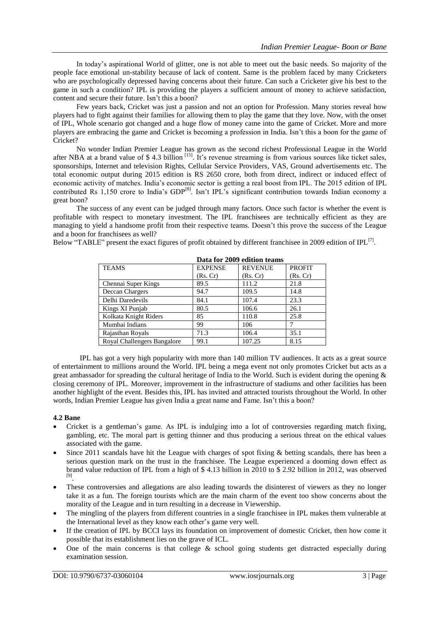In today's aspirational World of glitter, one is not able to meet out the basic needs. So majority of the people face emotional un-stability because of lack of content. Same is the problem faced by many Cricketers who are psychologically depressed having concerns about their future. Can such a Cricketer give his best to the game in such a condition? IPL is providing the players a sufficient amount of money to achieve satisfaction, content and secure their future. Isn't this a boon?

Few years back, Cricket was just a passion and not an option for Profession. Many stories reveal how players had to fight against their families for allowing them to play the game that they love. Now, with the onset of IPL, Whole scenario got changed and a huge flow of money came into the game of Cricket. More and more players are embracing the game and Cricket is becoming a profession in India. Isn't this a boon for the game of Cricket?

No wonder Indian Premier League has grown as the second richest Professional League in the World after NBA at a brand value of  $$ 4.3$  billion  $^{[15]}$ . It's revenue streaming is from various sources like ticket sales, sponsorships, Internet and television Rights, Cellular Service Providers, VAS, Ground advertisements etc. The total economic output during 2015 edition is RS 2650 crore, both from direct, indirect or induced effect of economic activity of matches. India's economic sector is getting a real boost from IPL. The 2015 edition of IPL contributed Rs 1,150 crore to India's GDP<sup>[8]</sup>. Isn't IPL's significant contribution towards Indian economy a great boon?

The success of any event can be judged through many factors. Once such factor is whether the event is profitable with respect to monetary investment. The IPL franchisees are technically efficient as they are managing to yield a handsome profit from their respective teams. Doesn't this prove the success of the League and a boon for franchisees as well?

Below "TABLE" present the exact figures of profit obtained by different franchisee in 2009 edition of IPL<sup>[7]</sup>.

|                             | Data IVI 2007 cuition teams |                |               |
|-----------------------------|-----------------------------|----------------|---------------|
| <b>TEAMS</b>                | <b>EXPENSE</b>              | <b>REVENUE</b> | <b>PROFIT</b> |
|                             | (Rs, Cr)                    | (Rs, Cr)       | (Rs, Cr)      |
| Chennai Super Kings         | 89.5                        | 111.2          | 21.8          |
| Deccan Chargers             | 94.7                        | 109.5          | 14.8          |
| Delhi Daredevils            | 84.1                        | 107.4          | 23.3          |
| Kings XI Punjab             | 80.5                        | 106.6          | 26.1          |
| Kolkata Knight Riders       | 85                          | 110.8          | 25.8          |
| Mumbai Indians              | 99                          | 106            |               |
| Rajasthan Royals            | 71.3                        | 106.4          | 35.1          |
| Royal Challengers Bangalore | 99.1                        | 107.25         | 8.15          |

 **Data for 2009 edition teams**

IPL has got a very high popularity with more than 140 million TV audiences. It acts as a great source of entertainment to millions around the World. IPL being a mega event not only promotes Cricket but acts as a great ambassador for spreading the cultural heritage of India to the World. Such is evident during the opening  $\&$ closing ceremony of IPL. Moreover, improvement in the infrastructure of stadiums and other facilities has been another highlight of the event. Besides this, IPL has invited and attracted tourists throughout the World. In other words, Indian Premier League has given India a great name and Fame. Isn't this a boon?

## **4.2 Bane**

- Cricket is a gentleman's game. As IPL is indulging into a lot of controversies regarding match fixing, gambling, etc. The moral part is getting thinner and thus producing a serious threat on the ethical values associated with the game.
- Since 2011 scandals have hit the League with charges of spot fixing & betting scandals, there has been a serious question mark on the trust in the franchisee. The League experienced a dooming down effect as brand value reduction of IPL from a high of \$ 4.13 billion in 2010 to \$ 2.92 billion in 2012, was observed [9] .
- These controversies and allegations are also leading towards the disinterest of viewers as they no longer take it as a fun. The foreign tourists which are the main charm of the event too show concerns about the morality of the League and in turn resulting in a decrease in Viewership.
- The mingling of the players from different countries in a single franchisee in IPL makes them vulnerable at the International level as they know each other's game very well.
- If the creation of IPL by BCCI lays its foundation on improvement of domestic Cricket, then how come it possible that its establishment lies on the grave of ICL.
- One of the main concerns is that college  $\&$  school going students get distracted especially during examination session.